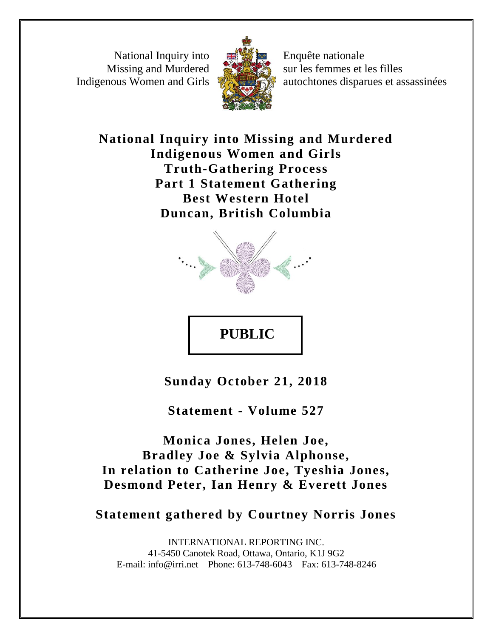National Inquiry into Missing and Murdered Indigenous Women and Girls



Enquête nationale sur les femmes et les filles autochtones disparues et assassinées

**National Inquiry into Missing and Murdered Indigenous Women and Girls Truth-Gathering Process Part 1 Statement Gathering Best Western Hotel Duncan, British Columbia**



**Sunday October 21, 2018**

**PUBLIC** 

**Statement - Volume 527**

**Monica Jones, Helen Joe, Bradley Joe & Sylvia Alphonse, In relation to Catherine Joe, Tyeshia Jones, Desmond Peter, Ian Henry & Everett Jones**

**Statement gathered by Courtney Norris Jones**

INTERNATIONAL REPORTING INC. 41-5450 Canotek Road, Ottawa, Ontario, K1J 9G2 E-mail: info@irri.net – Phone: 613-748-6043 – Fax: 613-748-8246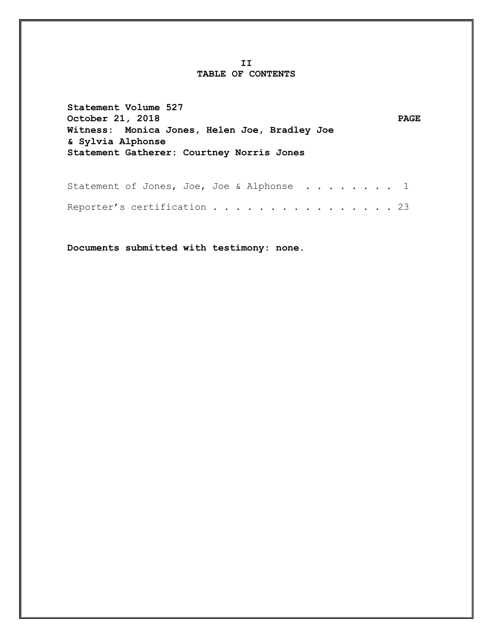## **II TABLE OF CONTENTS**

**Statement Volume 527** October 21, 2018 PAGE **Witness: Monica Jones, Helen Joe, Bradley Joe & Sylvia Alphonse Statement Gatherer: Courtney Norris Jones**

| Statement of Jones, Joe, Joe & Alphonse 1 |  |  |  |  |  |  |  |  |  |  |
|-------------------------------------------|--|--|--|--|--|--|--|--|--|--|
| Reporter's certification 23               |  |  |  |  |  |  |  |  |  |  |

**Documents submitted with testimony: none.**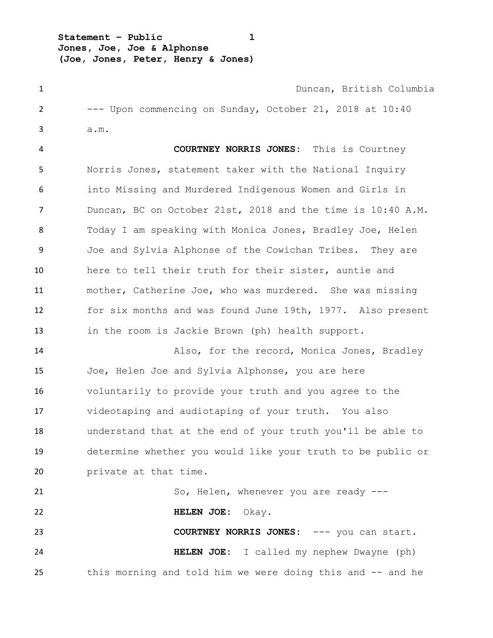**Statement – Public 1 Jones, Joe, Joe & Alphonse (Joe, Jones, Peter, Henry & Jones)**

 Duncan, British Columbia --- Upon commencing on Sunday, October 21, 2018 at 10:40 a.m.

 **COURTNEY NORRIS JONES:** This is Courtney Norris Jones, statement taker with the National Inquiry into Missing and Murdered Indigenous Women and Girls in Duncan, BC on October 21st, 2018 and the time is 10:40 A.M. Today I am speaking with Monica Jones, Bradley Joe, Helen Joe and Sylvia Alphonse of the Cowichan Tribes. They are here to tell their truth for their sister, auntie and mother, Catherine Joe, who was murdered. She was missing for six months and was found June 19th, 1977. Also present in the room is Jackie Brown (ph) health support.

 Also, for the record, Monica Jones, Bradley Joe, Helen Joe and Sylvia Alphonse, you are here voluntarily to provide your truth and you agree to the videotaping and audiotaping of your truth. You also understand that at the end of your truth you'll be able to determine whether you would like your truth to be public or **private at that time.** 

21 So, Helen, whenever you are ready --- **HELEN JOE:** Okay. **COURTNEY NORRIS JONES:** --- you can start. **HELEN JOE:** I called my nephew Dwayne (ph) this morning and told him we were doing this and -- and he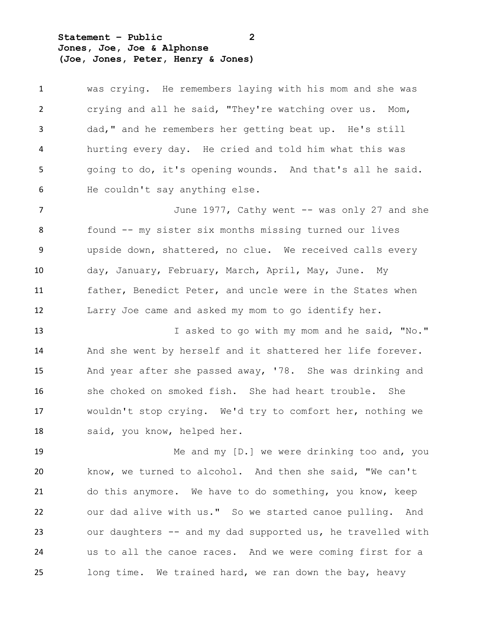**Statement – Public 2 Jones, Joe, Joe & Alphonse (Joe, Jones, Peter, Henry & Jones)**

 was crying. He remembers laying with his mom and she was crying and all he said, "They're watching over us. Mom, dad," and he remembers her getting beat up. He's still hurting every day. He cried and told him what this was going to do, it's opening wounds. And that's all he said. He couldn't say anything else.

7 June 1977, Cathy went -- was only 27 and she found -- my sister six months missing turned our lives upside down, shattered, no clue. We received calls every day, January, February, March, April, May, June. My father, Benedict Peter, and uncle were in the States when Larry Joe came and asked my mom to go identify her.

13 I asked to go with my mom and he said, "No." And she went by herself and it shattered her life forever. And year after she passed away, '78. She was drinking and she choked on smoked fish. She had heart trouble. She wouldn't stop crying. We'd try to comfort her, nothing we said, you know, helped her.

 Me and my [D.] we were drinking too and, you know, we turned to alcohol. And then she said, "We can't do this anymore. We have to do something, you know, keep our dad alive with us." So we started canoe pulling. And our daughters -- and my dad supported us, he travelled with us to all the canoe races. And we were coming first for a long time. We trained hard, we ran down the bay, heavy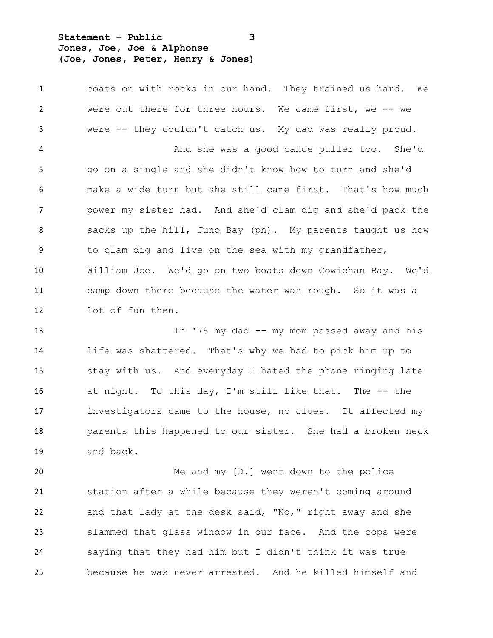**Statement – Public 3 Jones, Joe, Joe & Alphonse (Joe, Jones, Peter, Henry & Jones)**

 coats on with rocks in our hand. They trained us hard. We were out there for three hours. We came first, we -- we were -- they couldn't catch us. My dad was really proud. And she was a good canoe puller too. She'd go on a single and she didn't know how to turn and she'd make a wide turn but she still came first. That's how much power my sister had. And she'd clam dig and she'd pack the sacks up the hill, Juno Bay (ph). My parents taught us how to clam dig and live on the sea with my grandfather, William Joe. We'd go on two boats down Cowichan Bay. We'd camp down there because the water was rough. So it was a lot of fun then.

 In '78 my dad -- my mom passed away and his life was shattered. That's why we had to pick him up to stay with us. And everyday I hated the phone ringing late at night. To this day, I'm still like that. The -- the investigators came to the house, no clues. It affected my parents this happened to our sister. She had a broken neck and back.

20 Me and my [D.] went down to the police station after a while because they weren't coming around and that lady at the desk said, "No," right away and she slammed that glass window in our face. And the cops were saying that they had him but I didn't think it was true because he was never arrested. And he killed himself and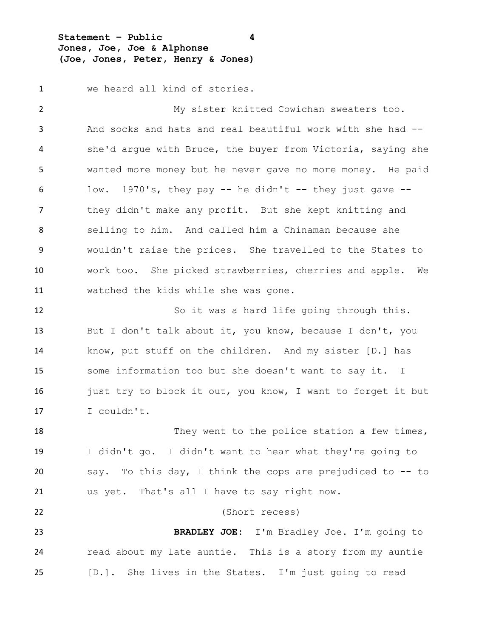**Statement – Public 4 Jones, Joe, Joe & Alphonse (Joe, Jones, Peter, Henry & Jones)**

we heard all kind of stories.

 My sister knitted Cowichan sweaters too. And socks and hats and real beautiful work with she had -- she'd argue with Bruce, the buyer from Victoria, saying she wanted more money but he never gave no more money. He paid low. 1970's, they pay -- he didn't -- they just gave -- they didn't make any profit. But she kept knitting and selling to him. And called him a Chinaman because she wouldn't raise the prices. She travelled to the States to work too. She picked strawberries, cherries and apple. We watched the kids while she was gone. So it was a hard life going through this. But I don't talk about it, you know, because I don't, you know, put stuff on the children. And my sister [D.] has some information too but she doesn't want to say it. I 16 just try to block it out, you know, I want to forget it but I couldn't. 18 They went to the police station a few times, I didn't go. I didn't want to hear what they're going to say. To this day, I think the cops are prejudiced to -- to us yet. That's all I have to say right now. (Short recess) **BRADLEY JOE:** I'm Bradley Joe. I'm going to read about my late auntie. This is a story from my auntie

[D.]. She lives in the States. I'm just going to read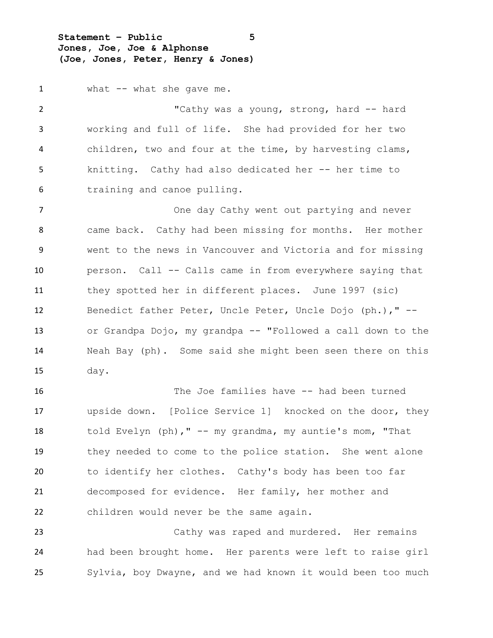**Statement – Public 5 Jones, Joe, Joe & Alphonse (Joe, Jones, Peter, Henry & Jones)**

1 what -- what she gave me.

2 "Cathy was a young, strong, hard -- hard working and full of life. She had provided for her two children, two and four at the time, by harvesting clams, knitting. Cathy had also dedicated her -- her time to training and canoe pulling.

7 The China one day Cathy went out partying and never came back. Cathy had been missing for months. Her mother went to the news in Vancouver and Victoria and for missing person. Call -- Calls came in from everywhere saying that they spotted her in different places. June 1997 (sic) Benedict father Peter, Uncle Peter, Uncle Dojo (ph.)," -- or Grandpa Dojo, my grandpa -- "Followed a call down to the Neah Bay (ph). Some said she might been seen there on this day.

 The Joe families have -- had been turned upside down. [Police Service 1] knocked on the door, they told Evelyn (ph)," -- my grandma, my auntie's mom, "That they needed to come to the police station. She went alone to identify her clothes. Cathy's body has been too far decomposed for evidence. Her family, her mother and children would never be the same again.

 Cathy was raped and murdered. Her remains had been brought home. Her parents were left to raise girl Sylvia, boy Dwayne, and we had known it would been too much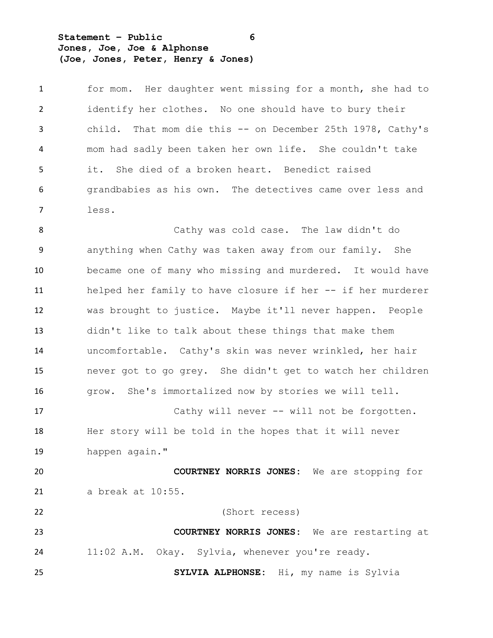**Statement – Public 6 Jones, Joe, Joe & Alphonse (Joe, Jones, Peter, Henry & Jones)**

 for mom. Her daughter went missing for a month, she had to identify her clothes. No one should have to bury their child. That mom die this -- on December 25th 1978, Cathy's mom had sadly been taken her own life. She couldn't take it. She died of a broken heart. Benedict raised grandbabies as his own. The detectives came over less and less.

 Cathy was cold case. The law didn't do anything when Cathy was taken away from our family. She became one of many who missing and murdered. It would have 11 helped her family to have closure if her -- if her murderer was brought to justice. Maybe it'll never happen. People didn't like to talk about these things that make them uncomfortable. Cathy's skin was never wrinkled, her hair never got to go grey. She didn't get to watch her children grow. She's immortalized now by stories we will tell. Cathy will never -- will not be forgotten. Her story will be told in the hopes that it will never happen again." **COURTNEY NORRIS JONES:** We are stopping for a break at 10:55. (Short recess) **COURTNEY NORRIS JONES:** We are restarting at 11:02 A.M. Okay. Sylvia, whenever you're ready. **SYLVIA ALPHONSE:** Hi, my name is Sylvia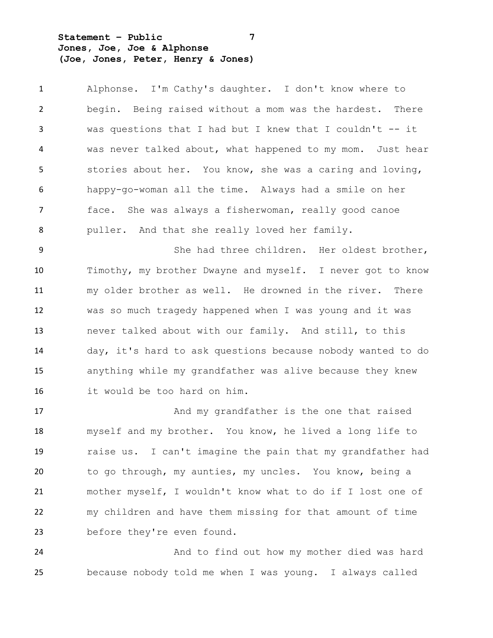**Statement – Public 7 Jones, Joe, Joe & Alphonse (Joe, Jones, Peter, Henry & Jones)**

 Alphonse. I'm Cathy's daughter. I don't know where to begin. Being raised without a mom was the hardest. There was questions that I had but I knew that I couldn't -- it was never talked about, what happened to my mom. Just hear stories about her. You know, she was a caring and loving, happy-go-woman all the time. Always had a smile on her face. She was always a fisherwoman, really good canoe puller. And that she really loved her family.

 She had three children. Her oldest brother, Timothy, my brother Dwayne and myself. I never got to know my older brother as well. He drowned in the river. There was so much tragedy happened when I was young and it was never talked about with our family. And still, to this day, it's hard to ask questions because nobody wanted to do anything while my grandfather was alive because they knew it would be too hard on him.

 And my grandfather is the one that raised myself and my brother. You know, he lived a long life to raise us. I can't imagine the pain that my grandfather had to go through, my aunties, my uncles. You know, being a mother myself, I wouldn't know what to do if I lost one of my children and have them missing for that amount of time before they're even found.

 And to find out how my mother died was hard because nobody told me when I was young. I always called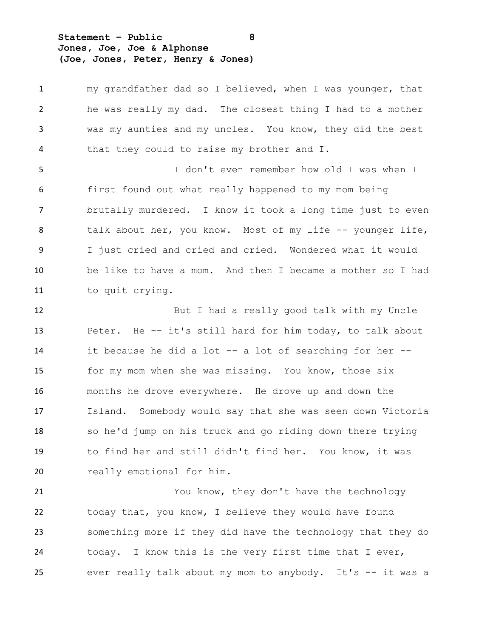**Statement – Public 8 Jones, Joe, Joe & Alphonse (Joe, Jones, Peter, Henry & Jones)**

 my grandfather dad so I believed, when I was younger, that he was really my dad. The closest thing I had to a mother was my aunties and my uncles. You know, they did the best that they could to raise my brother and I. I don't even remember how old I was when I first found out what really happened to my mom being brutally murdered. I know it took a long time just to even 8 talk about her, you know. Most of my life -- younger life, I just cried and cried and cried. Wondered what it would be like to have a mom. And then I became a mother so I had to quit crying. But I had a really good talk with my Uncle Peter. He -- it's still hard for him today, to talk about it because he did a lot -- a lot of searching for her -- for my mom when she was missing. You know, those six months he drove everywhere. He drove up and down the Island. Somebody would say that she was seen down Victoria so he'd jump on his truck and go riding down there trying to find her and still didn't find her. You know, it was 20 really emotional for him. You know, they don't have the technology today that, you know, I believe they would have found

 something more if they did have the technology that they do today. I know this is the very first time that I ever, ever really talk about my mom to anybody. It's -- it was a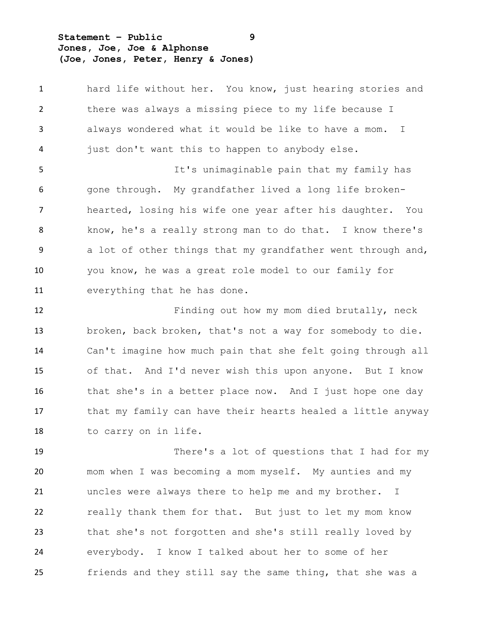**Statement – Public 9 Jones, Joe, Joe & Alphonse (Joe, Jones, Peter, Henry & Jones)**

 hard life without her. You know, just hearing stories and there was always a missing piece to my life because I always wondered what it would be like to have a mom. I just don't want this to happen to anybody else.

 It's unimaginable pain that my family has gone through. My grandfather lived a long life broken- hearted, losing his wife one year after his daughter. You know, he's a really strong man to do that. I know there's a lot of other things that my grandfather went through and, you know, he was a great role model to our family for everything that he has done.

 Finding out how my mom died brutally, neck broken, back broken, that's not a way for somebody to die. Can't imagine how much pain that she felt going through all of that. And I'd never wish this upon anyone. But I know 16 that she's in a better place now. And I just hope one day that my family can have their hearts healed a little anyway to carry on in life.

 There's a lot of questions that I had for my mom when I was becoming a mom myself. My aunties and my uncles were always there to help me and my brother. I really thank them for that. But just to let my mom know that she's not forgotten and she's still really loved by everybody. I know I talked about her to some of her friends and they still say the same thing, that she was a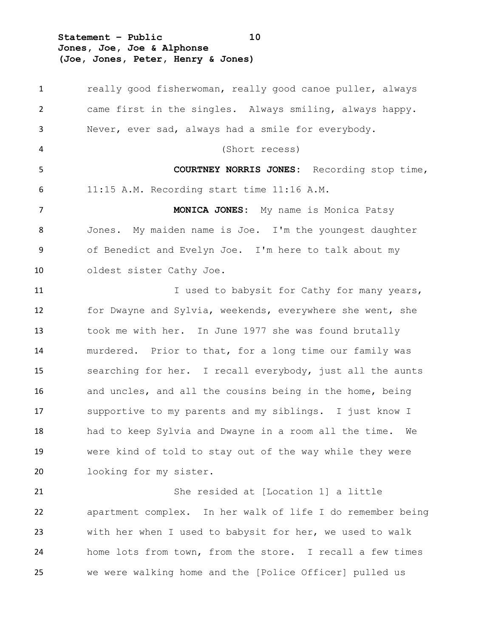**Statement – Public 10 Jones, Joe, Joe & Alphonse (Joe, Jones, Peter, Henry & Jones)**

1 really good fisherwoman, really good canoe puller, always came first in the singles. Always smiling, always happy. Never, ever sad, always had a smile for everybody. (Short recess) **COURTNEY NORRIS JONES:** Recording stop time, 11:15 A.M. Recording start time 11:16 A.M. **MONICA JONES:** My name is Monica Patsy Jones. My maiden name is Joe. I'm the youngest daughter of Benedict and Evelyn Joe. I'm here to talk about my oldest sister Cathy Joe. 11 I used to babysit for Cathy for many years, for Dwayne and Sylvia, weekends, everywhere she went, she took me with her. In June 1977 she was found brutally murdered. Prior to that, for a long time our family was searching for her. I recall everybody, just all the aunts and uncles, and all the cousins being in the home, being supportive to my parents and my siblings. I just know I had to keep Sylvia and Dwayne in a room all the time. We were kind of told to stay out of the way while they were looking for my sister. She resided at [Location 1] a little apartment complex. In her walk of life I do remember being with her when I used to babysit for her, we used to walk

 home lots from town, from the store. I recall a few times we were walking home and the [Police Officer] pulled us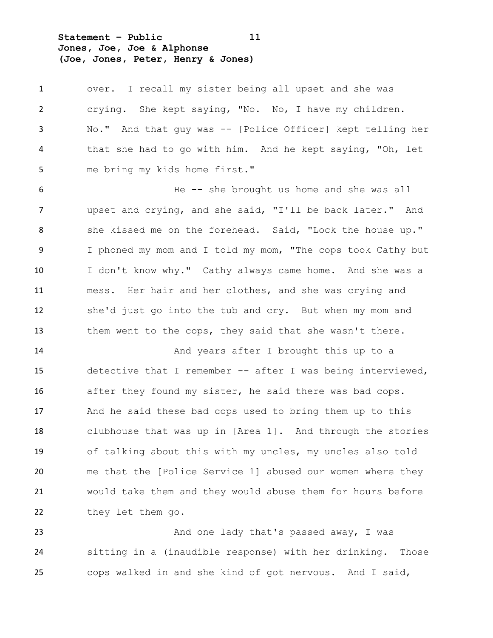**Statement – Public 11 Jones, Joe, Joe & Alphonse (Joe, Jones, Peter, Henry & Jones)**

 over. I recall my sister being all upset and she was crying. She kept saying, "No. No, I have my children. No." And that guy was -- [Police Officer] kept telling her that she had to go with him. And he kept saying, "Oh, let me bring my kids home first." He -- she brought us home and she was all upset and crying, and she said, "I'll be back later." And 8 she kissed me on the forehead. Said, "Lock the house up." I phoned my mom and I told my mom, "The cops took Cathy but I don't know why." Cathy always came home. And she was a

 mess. Her hair and her clothes, and she was crying and she'd just go into the tub and cry. But when my mom and them went to the cops, they said that she wasn't there.

14 And years after I brought this up to a detective that I remember -- after I was being interviewed, after they found my sister, he said there was bad cops. And he said these bad cops used to bring them up to this clubhouse that was up in [Area 1]. And through the stories of talking about this with my uncles, my uncles also told me that the [Police Service 1] abused our women where they would take them and they would abuse them for hours before 22 they let them go.

23 And one lady that's passed away, I was sitting in a (inaudible response) with her drinking. Those cops walked in and she kind of got nervous. And I said,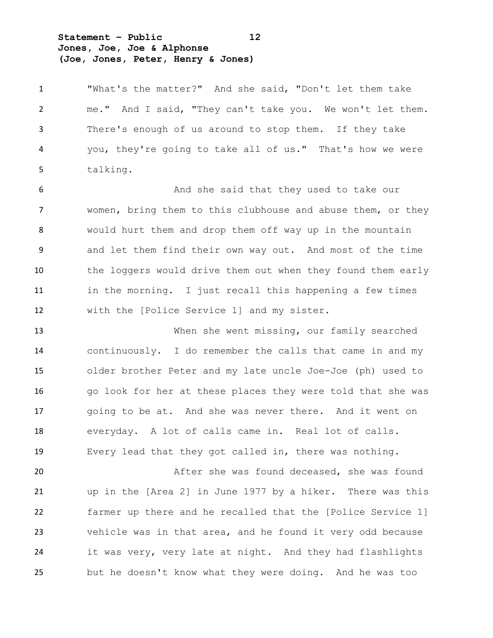**Statement – Public 12 Jones, Joe, Joe & Alphonse (Joe, Jones, Peter, Henry & Jones)**

 "What's the matter?" And she said, "Don't let them take me." And I said, "They can't take you. We won't let them. There's enough of us around to stop them. If they take you, they're going to take all of us." That's how we were talking.

6 And she said that they used to take our women, bring them to this clubhouse and abuse them, or they would hurt them and drop them off way up in the mountain and let them find their own way out. And most of the time the loggers would drive them out when they found them early in the morning. I just recall this happening a few times with the [Police Service 1] and my sister.

 When she went missing, our family searched continuously. I do remember the calls that came in and my older brother Peter and my late uncle Joe-Joe (ph) used to go look for her at these places they were told that she was going to be at. And she was never there. And it went on everyday. A lot of calls came in. Real lot of calls. Every lead that they got called in, there was nothing.

 After she was found deceased, she was found up in the [Area 2] in June 1977 by a hiker. There was this farmer up there and he recalled that the [Police Service 1] vehicle was in that area, and he found it very odd because it was very, very late at night. And they had flashlights but he doesn't know what they were doing. And he was too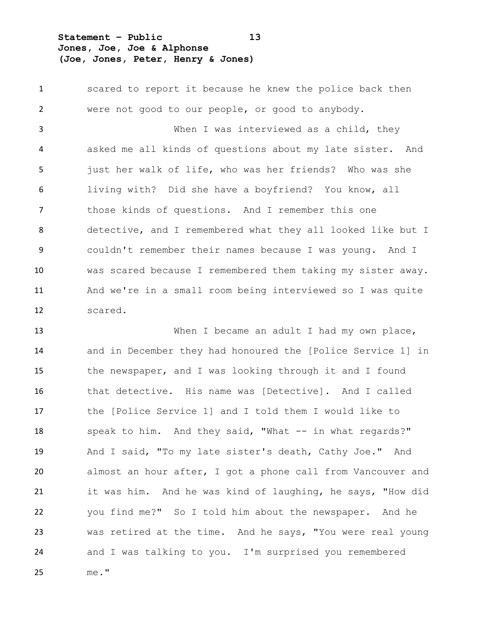**Statement – Public 13 Jones, Joe, Joe & Alphonse (Joe, Jones, Peter, Henry & Jones)**

 scared to report it because he knew the police back then were not good to our people, or good to anybody. When I was interviewed as a child, they asked me all kinds of questions about my late sister. And just her walk of life, who was her friends? Who was she living with? Did she have a boyfriend? You know, all those kinds of questions. And I remember this one detective, and I remembered what they all looked like but I couldn't remember their names because I was young. And I was scared because I remembered them taking my sister away. And we're in a small room being interviewed so I was quite scared.

13 When I became an adult I had my own place, and in December they had honoured the [Police Service 1] in the newspaper, and I was looking through it and I found that detective. His name was [Detective]. And I called the [Police Service 1] and I told them I would like to speak to him. And they said, "What -- in what regards?" And I said, "To my late sister's death, Cathy Joe." And almost an hour after, I got a phone call from Vancouver and it was him. And he was kind of laughing, he says, "How did you find me?" So I told him about the newspaper. And he was retired at the time. And he says, "You were real young and I was talking to you. I'm surprised you remembered me."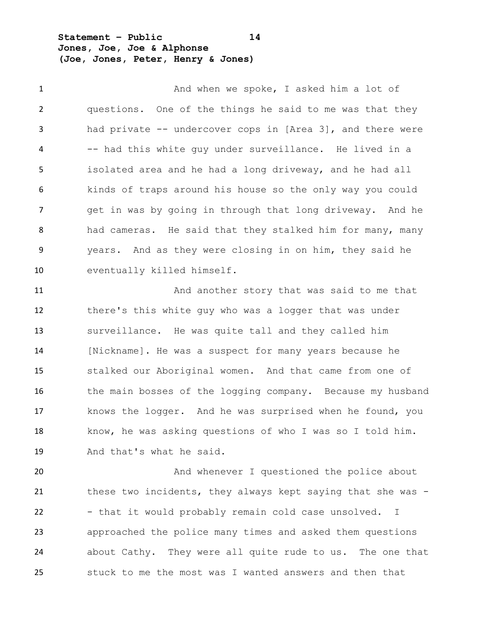**Statement – Public 14 Jones, Joe, Joe & Alphonse (Joe, Jones, Peter, Henry & Jones)**

1 And when we spoke, I asked him a lot of questions. One of the things he said to me was that they had private -- undercover cops in [Area 3], and there were -- had this white guy under surveillance. He lived in a isolated area and he had a long driveway, and he had all kinds of traps around his house so the only way you could get in was by going in through that long driveway. And he had cameras. He said that they stalked him for many, many years. And as they were closing in on him, they said he eventually killed himself.

 And another story that was said to me that there's this white guy who was a logger that was under surveillance. He was quite tall and they called him 14 [Nickname]. He was a suspect for many years because he stalked our Aboriginal women. And that came from one of 16 the main bosses of the logging company. Because my husband knows the logger. And he was surprised when he found, you know, he was asking questions of who I was so I told him. And that's what he said.

**And whenever I questioned the police about** 21 these two incidents, they always kept saying that she was -22 - that it would probably remain cold case unsolved. I approached the police many times and asked them questions about Cathy. They were all quite rude to us. The one that stuck to me the most was I wanted answers and then that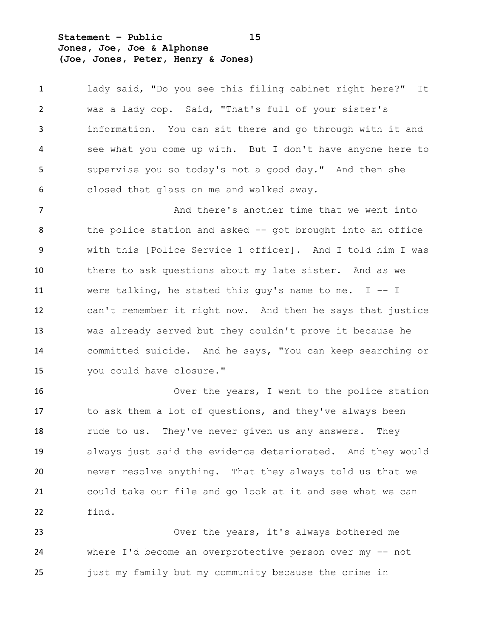**Statement – Public 15 Jones, Joe, Joe & Alphonse (Joe, Jones, Peter, Henry & Jones)**

 lady said, "Do you see this filing cabinet right here?" It was a lady cop. Said, "That's full of your sister's information. You can sit there and go through with it and see what you come up with. But I don't have anyone here to supervise you so today's not a good day." And then she closed that glass on me and walked away.

**And there's another time that we went into** 8 the police station and asked -- got brought into an office with this [Police Service 1 officer]. And I told him I was there to ask questions about my late sister. And as we were talking, he stated this guy's name to me. I -- I can't remember it right now. And then he says that justice was already served but they couldn't prove it because he committed suicide. And he says, "You can keep searching or you could have closure."

 Over the years, I went to the police station to ask them a lot of questions, and they've always been 18 rude to us. They've never given us any answers. They always just said the evidence deteriorated. And they would never resolve anything. That they always told us that we could take our file and go look at it and see what we can find.

 Over the years, it's always bothered me where I'd become an overprotective person over my -- not just my family but my community because the crime in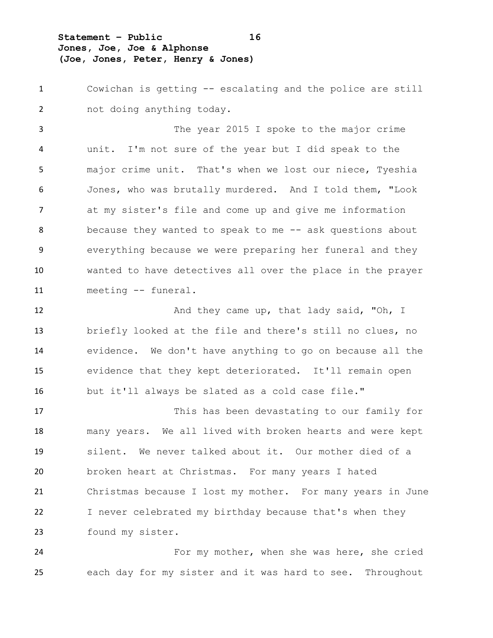**Statement – Public 16 Jones, Joe, Joe & Alphonse (Joe, Jones, Peter, Henry & Jones)**

 Cowichan is getting -- escalating and the police are still not doing anything today.

 The year 2015 I spoke to the major crime unit. I'm not sure of the year but I did speak to the major crime unit. That's when we lost our niece, Tyeshia Jones, who was brutally murdered. And I told them, "Look at my sister's file and come up and give me information 8 because they wanted to speak to me -- ask questions about everything because we were preparing her funeral and they wanted to have detectives all over the place in the prayer meeting -- funeral.

12 And they came up, that lady said, "Oh, I briefly looked at the file and there's still no clues, no evidence. We don't have anything to go on because all the evidence that they kept deteriorated. It'll remain open but it'll always be slated as a cold case file."

 This has been devastating to our family for many years. We all lived with broken hearts and were kept silent. We never talked about it. Our mother died of a broken heart at Christmas. For many years I hated Christmas because I lost my mother. For many years in June I never celebrated my birthday because that's when they found my sister.

 For my mother, when she was here, she cried each day for my sister and it was hard to see. Throughout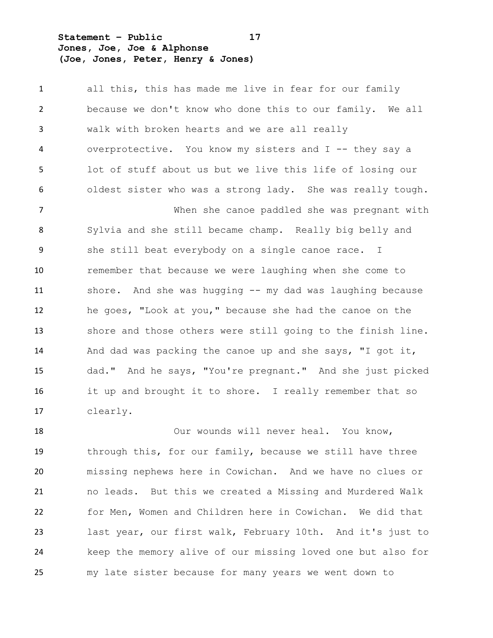**Statement – Public 17 Jones, Joe, Joe & Alphonse (Joe, Jones, Peter, Henry & Jones)**

 all this, this has made me live in fear for our family because we don't know who done this to our family. We all walk with broken hearts and we are all really overprotective. You know my sisters and I -- they say a lot of stuff about us but we live this life of losing our oldest sister who was a strong lady. She was really tough. When she canoe paddled she was pregnant with Sylvia and she still became champ. Really big belly and she still beat everybody on a single canoe race. I remember that because we were laughing when she come to shore. And she was hugging -- my dad was laughing because he goes, "Look at you," because she had the canoe on the shore and those others were still going to the finish line. And dad was packing the canoe up and she says, "I got it, dad." And he says, "You're pregnant." And she just picked it up and brought it to shore. I really remember that so clearly.

 Our wounds will never heal. You know, through this, for our family, because we still have three missing nephews here in Cowichan. And we have no clues or no leads. But this we created a Missing and Murdered Walk for Men, Women and Children here in Cowichan. We did that last year, our first walk, February 10th. And it's just to keep the memory alive of our missing loved one but also for my late sister because for many years we went down to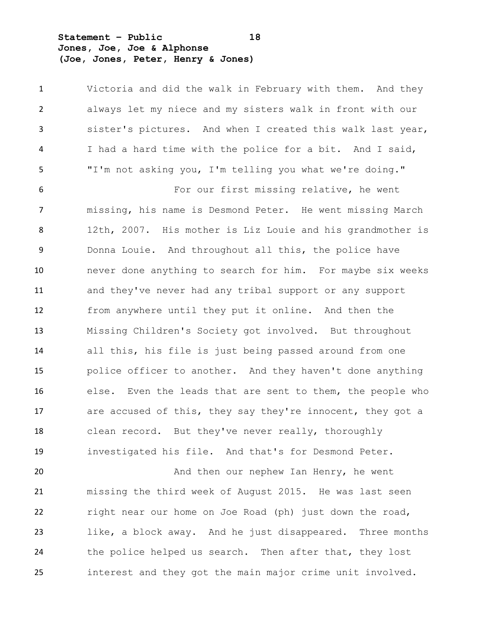**Statement – Public 18 Jones, Joe, Joe & Alphonse (Joe, Jones, Peter, Henry & Jones)**

 Victoria and did the walk in February with them. And they always let my niece and my sisters walk in front with our sister's pictures. And when I created this walk last year, I had a hard time with the police for a bit. And I said, "I'm not asking you, I'm telling you what we're doing."

 For our first missing relative, he went missing, his name is Desmond Peter. He went missing March 12th, 2007. His mother is Liz Louie and his grandmother is Donna Louie. And throughout all this, the police have never done anything to search for him. For maybe six weeks and they've never had any tribal support or any support from anywhere until they put it online. And then the Missing Children's Society got involved. But throughout all this, his file is just being passed around from one police officer to another. And they haven't done anything else. Even the leads that are sent to them, the people who 17 are accused of this, they say they're innocent, they got a clean record. But they've never really, thoroughly investigated his file. And that's for Desmond Peter.

**And then our nephew Ian Henry, he went**  missing the third week of August 2015. He was last seen right near our home on Joe Road (ph) just down the road, like, a block away. And he just disappeared. Three months the police helped us search. Then after that, they lost interest and they got the main major crime unit involved.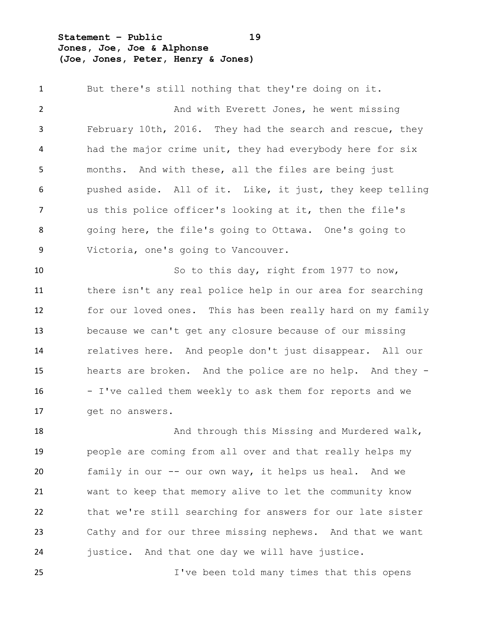**Statement – Public 19 Jones, Joe, Joe & Alphonse (Joe, Jones, Peter, Henry & Jones)**

 But there's still nothing that they're doing on it. 2 And with Everett Jones, he went missing February 10th, 2016. They had the search and rescue, they had the major crime unit, they had everybody here for six months. And with these, all the files are being just pushed aside. All of it. Like, it just, they keep telling us this police officer's looking at it, then the file's going here, the file's going to Ottawa. One's going to Victoria, one's going to Vancouver. 10 So to this day, right from 1977 to now, there isn't any real police help in our area for searching for our loved ones. This has been really hard on my family because we can't get any closure because of our missing relatives here. And people don't just disappear. All our hearts are broken. And the police are no help. And they - - I've called them weekly to ask them for reports and we

 get no answers. 18 And through this Missing and Murdered walk, people are coming from all over and that really helps my family in our -- our own way, it helps us heal. And we want to keep that memory alive to let the community know that we're still searching for answers for our late sister Cathy and for our three missing nephews. And that we want justice. And that one day we will have justice. I've been told many times that this opens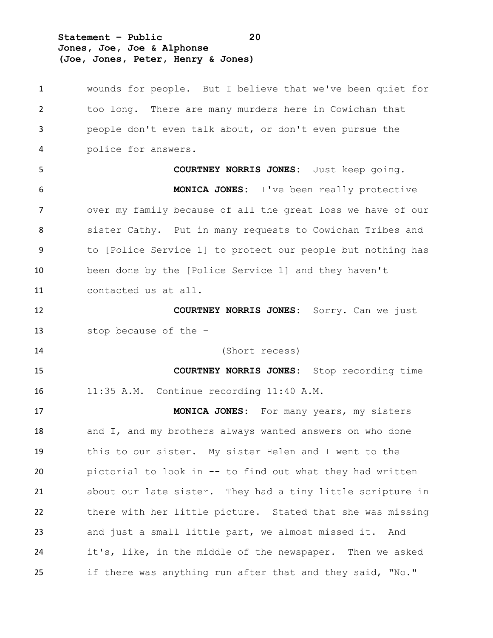**Statement – Public 20 Jones, Joe, Joe & Alphonse (Joe, Jones, Peter, Henry & Jones)**

| 1  | wounds for people. But I believe that we've been quiet for  |
|----|-------------------------------------------------------------|
| 2  | too long. There are many murders here in Cowichan that      |
| 3  | people don't even talk about, or don't even pursue the      |
| 4  | police for answers.                                         |
| 5  | <b>COURTNEY NORRIS JONES:</b> Just keep going.              |
| 6  | <b>MONICA JONES:</b> I've been really protective            |
| 7  | over my family because of all the great loss we have of our |
| 8  | sister Cathy. Put in many requests to Cowichan Tribes and   |
| 9  | to [Police Service 1] to protect our people but nothing has |
| 10 | been done by the [Police Service 1] and they haven't        |
| 11 | contacted us at all.                                        |
| 12 | COURTNEY NORRIS JONES: Sorry. Can we just                   |
| 13 | stop because of the -                                       |
| 14 | (Short recess)                                              |
| 15 | <b>COURTNEY NORRIS JONES:</b> Stop recording time           |
| 16 | 11:35 A.M. Continue recording 11:40 A.M.                    |
| 17 | MONICA JONES: For many years, my sisters                    |
| 18 | and I, and my brothers always wanted answers on who done    |
| 19 | this to our sister. My sister Helen and I went to the       |
| 20 | pictorial to look in -- to find out what they had written   |
| 21 | about our late sister. They had a tiny little scripture in  |
| 22 | there with her little picture. Stated that she was missing  |
| 23 | and just a small little part, we almost missed it. And      |
| 24 | it's, like, in the middle of the newspaper. Then we asked   |
| 25 | if there was anything run after that and they said, "No."   |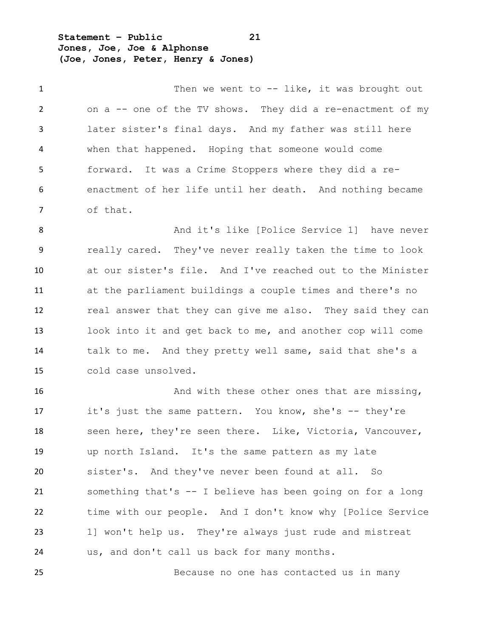**Statement – Public 21 Jones, Joe, Joe & Alphonse (Joe, Jones, Peter, Henry & Jones)**

1 Then we went to -- like, it was brought out on a -- one of the TV shows. They did a re-enactment of my later sister's final days. And my father was still here when that happened. Hoping that someone would come forward. It was a Crime Stoppers where they did a re- enactment of her life until her death. And nothing became of that.

 And it's like [Police Service 1] have never really cared. They've never really taken the time to look at our sister's file. And I've reached out to the Minister at the parliament buildings a couple times and there's no real answer that they can give me also. They said they can look into it and get back to me, and another cop will come talk to me. And they pretty well same, said that she's a cold case unsolved.

**And with these other ones that are missing,** 17 it's just the same pattern. You know, she's -- they're 18 seen here, they're seen there. Like, Victoria, Vancouver, up north Island. It's the same pattern as my late sister's. And they've never been found at all. So something that's -- I believe has been going on for a long time with our people. And I don't know why [Police Service 1] won't help us. They're always just rude and mistreat us, and don't call us back for many months.

Because no one has contacted us in many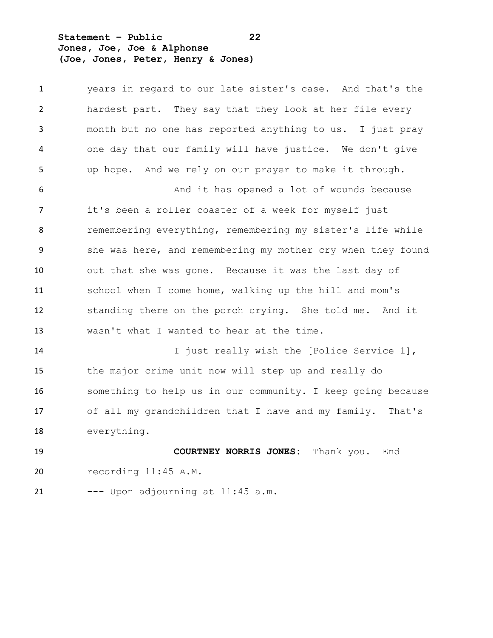**Statement – Public 22 Jones, Joe, Joe & Alphonse (Joe, Jones, Peter, Henry & Jones)**

 years in regard to our late sister's case. And that's the hardest part. They say that they look at her file every month but no one has reported anything to us. I just pray one day that our family will have justice. We don't give up hope. And we rely on our prayer to make it through. 6 And it has opened a lot of wounds because it's been a roller coaster of a week for myself just remembering everything, remembering my sister's life while she was here, and remembering my mother cry when they found out that she was gone. Because it was the last day of school when I come home, walking up the hill and mom's standing there on the porch crying. She told me. And it wasn't what I wanted to hear at the time. I just really wish the [Police Service 1], the major crime unit now will step up and really do something to help us in our community. I keep going because of all my grandchildren that I have and my family. That's everything. **COURTNEY NORRIS JONES:** Thank you. End recording 11:45 A.M. --- Upon adjourning at 11:45 a.m.